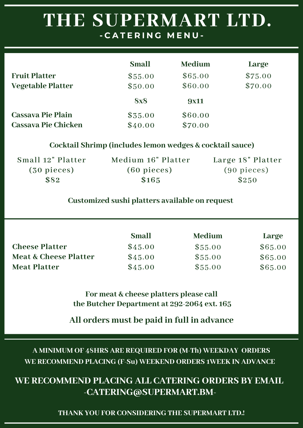|                            | <b>Small</b> | <b>Medium</b> | Large   |
|----------------------------|--------------|---------------|---------|
| <b>Fruit Platter</b>       | \$55.00      | \$65.00       | \$75.00 |
| <b>Vegetable Platter</b>   | \$50.00      | \$60.00       | \$70.00 |
|                            | <b>8x8</b>   | <b>9x11</b>   |         |
| <b>Cassava Pie Plain</b>   | \$35.00      | \$60.00       |         |
| <b>Cassava Pie Chicken</b> | \$40.00      | \$70.00       |         |

#### **Cocktail Shrimp (includes lemon wedges & cocktail sauce)**

| Small 12" Platter    | Medium 16" Platter    | Large 18" Platter     |
|----------------------|-----------------------|-----------------------|
| $(30\;{\rm pieces})$ | $(60 \text{ pieces})$ | $(90 \text{ pieces})$ |
| \$82                 | \$165                 | \$250                 |

#### **Customized sushi platters available on request**

|                                  | <b>Small</b> | <b>Medium</b> | Large   |
|----------------------------------|--------------|---------------|---------|
| <b>Cheese Platter</b>            | \$45.00      | \$55.00       | \$65.00 |
| <b>Meat &amp; Cheese Platter</b> | \$45.00      | \$55.00       | \$65.00 |
| <b>Meat Platter</b>              | \$45.00      | \$55.00       | \$65.00 |

**For meat & cheese platters please call the Butcher Department at 292-2064 ext. 165**

**All orders must be paid in full in advance**

**A MINIMUM OF 48HRS ARE REQUIRED FOR (M-Th) WEEKDAY ORDERS WE RECOMMEND PLACING (F-Su) WEEKEND ORDERS 1WEEK IN ADVANCE**

#### **WE RECOMMEND PLACING ALL CATERING ORDERS BY EMAIL -CATERING@SUPERMART.BM-**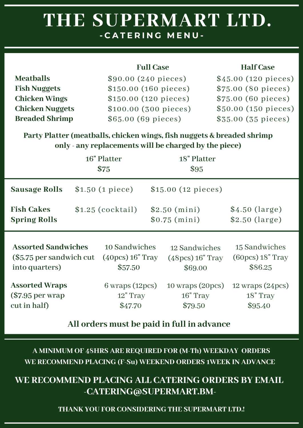|                        | <b>Full Case</b>      | <b>Half</b> Case     |
|------------------------|-----------------------|----------------------|
| <b>Meatballs</b>       | \$90.00 (240 pieces)  | \$45.00 (120 pieces) |
| <b>Fish Nuggets</b>    | \$150.00 (160 pieces) | \$75.00 (80 pieces)  |
| <b>Chicken Wings</b>   | \$150.00 (120 pieces) | \$75.00 (60 pieces)  |
| <b>Chicken Nuggets</b> | \$100.00 (300 pieces) | \$50.00 (150 pieces) |
| <b>Breaded Shrimp</b>  | \$65.00 (69 pieces)   | \$35.00 (35 pieces)  |

**Party Platter (meatballs, chicken wings, fish nuggets & breaded shrimp only - any replacements will be charged by the piece)**

|                                                                          | 16" Platter<br>\$75 |                                                         | 18" Platter<br>\$95                                       |                                                           |
|--------------------------------------------------------------------------|---------------------|---------------------------------------------------------|-----------------------------------------------------------|-----------------------------------------------------------|
| <b>Sausage Rolls</b>                                                     |                     | \$1.50 (1 piece)                                        | \$15.00 (12 pieces)                                       |                                                           |
| <b>Fish Cakes</b><br><b>Spring Rolls</b>                                 |                     | $$1.25$ (cocktail)                                      | \$2.50 (mini)<br>\$0.75 (mini)                            | \$4.50 (large)<br>\$2.50 (large)                          |
| <b>Assorted Sandwiches</b><br>(\$5.75 per sandwich cut<br>into quarters) |                     | 10 Sandwiches<br>$(40pcs)$ 16" Tray<br>\$57.50          | 12 Sandwiches<br>$(48pcs)$ 16" Tray<br>\$69.00            | 15 Sandwiches<br>$(60pcs)$ 18" Tray<br>\$86.25            |
| <b>Assorted Wraps</b><br>$\$7.95$ per wrap<br>cut in half)               |                     | $6 \text{ wraps} (12 \text{pc})$<br>12" Tray<br>\$47.70 | $10 \text{ wraps } (20 \text{pc})$<br>16" Tray<br>\$79.50 | $12 \text{ wraps } (24 \text{pc})$<br>18" Tray<br>\$95.40 |

**All orders must be paid in full in advance**

**A MINIMUM OF 48HRS ARE REQUIRED FOR (M-Th) WEEKDAY ORDERS WE RECOMMEND PLACING (F-Su) WEEKEND ORDERS 1WEEK IN ADVANCE**

**WE RECOMMEND PLACING ALL CATERING ORDERS BY EMAIL -CATERING@SUPERMART.BM-**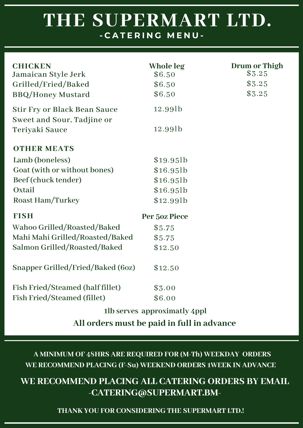| <b>CHICKEN</b>                      | Whole leg     | Drum or Thigh |
|-------------------------------------|---------------|---------------|
| Jamaican Style Jerk                 | \$6.50        | \$3.25        |
| Grilled/Fried/Baked                 | \$6.50        | \$3.25        |
| <b>BBQ/Honey Mustard</b>            | \$6.50        | \$3.25        |
| <b>Stir Fry or Black Bean Sauce</b> | 12.99lb       |               |
| Sweet and Sour, Tadjine or          |               |               |
| Teriyaki Sauce                      | 12.99lb       |               |
| <b>OTHER MEATS</b>                  |               |               |
| Lamb (boneless)                     | \$19.95       |               |
| Goat (with or without bones)        | \$16.95       |               |
| Beef (chuck tender)                 | \$16.95       |               |
| Oxtail                              | $$16.95$ lb   |               |
| Roast Ham/Turkey                    | $$12.99$ lb   |               |
| <b>FISH</b>                         | Per 50z Piece |               |
| Wahoo Grilled/Roasted/Baked         | \$5.75        |               |
| Mahi Mahi Grilled/Roasted/Baked     | \$5.75        |               |
| Salmon Grilled/Roasted/Baked        | \$12.50       |               |
| Snapper Grilled/Fried/Baked (6oz)   | \$12.50       |               |
| Fish Fried/Steamed (half fillet)    | \$3.00        |               |
| Fish Fried/Steamed (fillet)         | \$6.00        |               |
|                                     |               |               |

**1lb serves approximatly 4ppl**

**All orders must be paid in full in advance**

**A MINIMUM OF 48HRS ARE REQUIRED FOR (M-Th) WEEKDAY ORDERS WE RECOMMEND PLACING (F-Su) WEEKEND ORDERS 1WEEK IN ADVANCE**

### **WE RECOMMEND PLACING ALL CATERING ORDERS BY EMAIL -CATERING@SUPERMART.BM-**